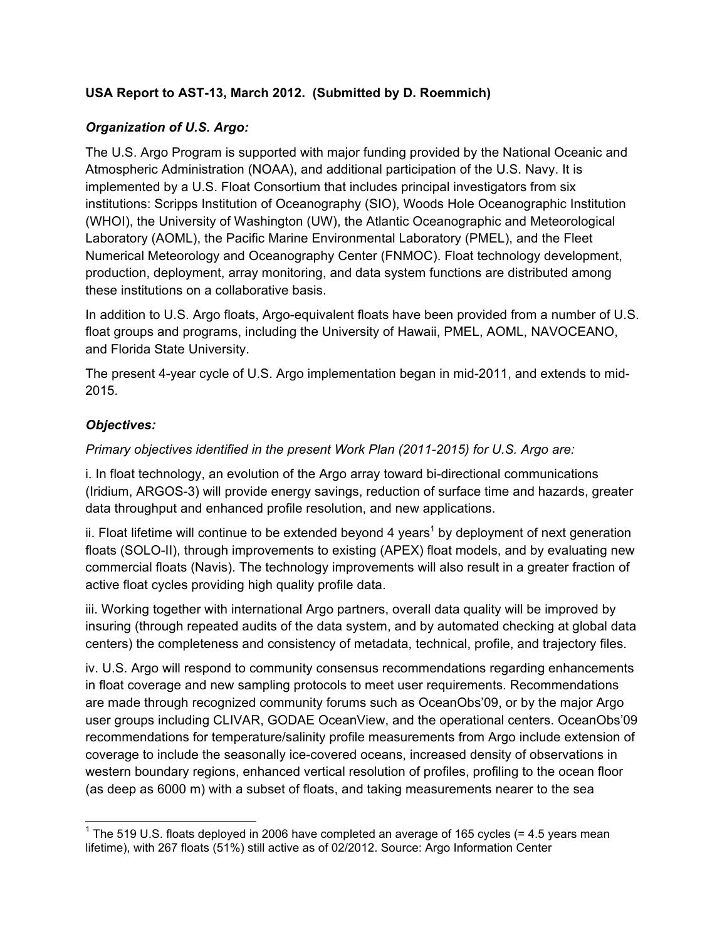## **USA Report to AST-13, March 2012. (Submitted by D. Roemmich)**

### *Organization of U.S. Argo:*

The U.S. Argo Program is supported with major funding provided by the National Oceanic and Atmospheric Administration (NOAA), and additional participation of the U.S. Navy. It is implemented by a U.S. Float Consortium that includes principal investigators from six institutions: Scripps Institution of Oceanography (SIO), Woods Hole Oceanographic Institution (WHOI), the University of Washington (UW), the Atlantic Oceanographic and Meteorological Laboratory (AOML), the Pacific Marine Environmental Laboratory (PMEL), and the Fleet Numerical Meteorology and Oceanography Center (FNMOC). Float technology development, production, deployment, array monitoring, and data system functions are distributed among these institutions on a collaborative basis.

In addition to U.S. Argo floats, Argo-equivalent floats have been provided from a number of U.S. float groups and programs, including the University of Hawaii, PMEL, AOML, NAVOCEANO, and Florida State University.

The present 4-year cycle of U.S. Argo implementation began in mid-2011, and extends to mid-2015.

### *Objectives:*

*Primary objectives identified in the present Work Plan (2011-2015) for U.S. Argo are:*

i. In float technology, an evolution of the Argo array toward bi-directional communications (Iridium, ARGOS-3) will provide energy savings, reduction of surface time and hazards, greater data throughput and enhanced profile resolution, and new applications.

ii. Float lifetime will continue to be extended beyond 4 years<sup>1</sup> by deployment of next generation floats (SOLO-II), through improvements to existing (APEX) float models, and by evaluating new commercial floats (Navis). The technology improvements will also result in a greater fraction of active float cycles providing high quality profile data.

iii. Working together with international Argo partners, overall data quality will be improved by insuring (through repeated audits of the data system, and by automated checking at global data centers) the completeness and consistency of metadata, technical, profile, and trajectory files.

iv. U.S. Argo will respond to community consensus recommendations regarding enhancements in float coverage and new sampling protocols to meet user requirements. Recommendations are made through recognized community forums such as OceanObs'09, or by the major Argo user groups including CLIVAR, GODAE OceanView, and the operational centers. OceanObs'09 recommendations for temperature/salinity profile measurements from Argo include extension of coverage to include the seasonally ice-covered oceans, increased density of observations in western boundary regions, enhanced vertical resolution of profiles, profiling to the ocean floor (as deep as 6000 m) with a subset of floats, and taking measurements nearer to the sea

<sup>————————————————————&</sup>lt;br><sup>1</sup> The 519 U.S. floats deployed in 2006 have completed an average of 165 cycles (= 4.5 years mean lifetime), with 267 floats (51%) still active as of 02/2012. Source: Argo Information Center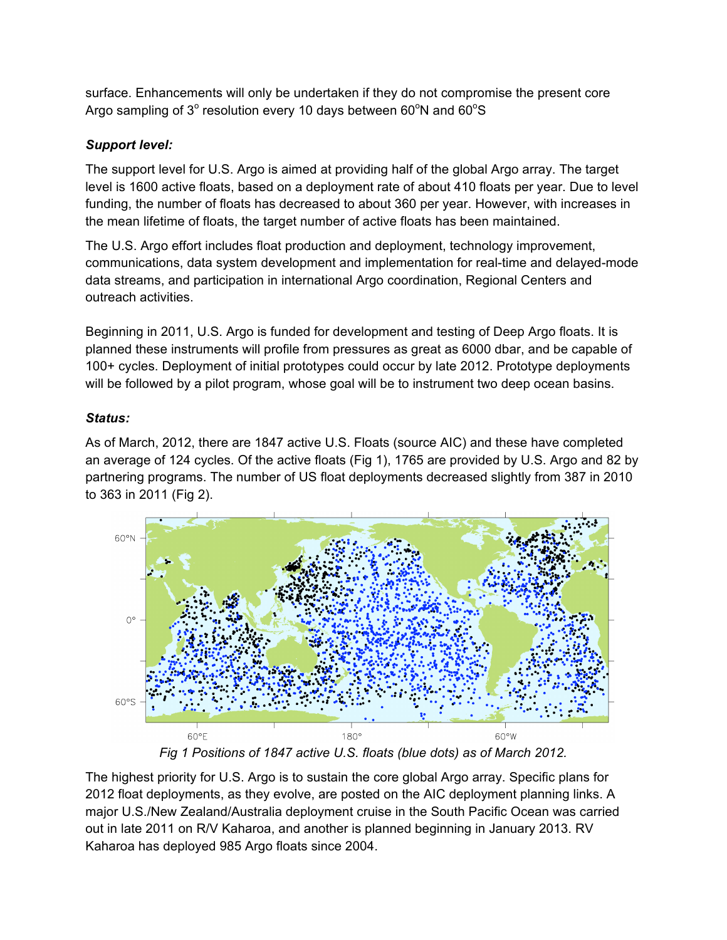surface. Enhancements will only be undertaken if they do not compromise the present core Argo sampling of 3 $^{\circ}$  resolution every 10 days between 60 $^{\circ}$ N and 60 $^{\circ}$ S

# *Support level:*

The support level for U.S. Argo is aimed at providing half of the global Argo array. The target level is 1600 active floats, based on a deployment rate of about 410 floats per year. Due to level funding, the number of floats has decreased to about 360 per year. However, with increases in the mean lifetime of floats, the target number of active floats has been maintained.

The U.S. Argo effort includes float production and deployment, technology improvement, communications, data system development and implementation for real-time and delayed-mode data streams, and participation in international Argo coordination, Regional Centers and outreach activities.

Beginning in 2011, U.S. Argo is funded for development and testing of Deep Argo floats. It is planned these instruments will profile from pressures as great as 6000 dbar, and be capable of 100+ cycles. Deployment of initial prototypes could occur by late 2012. Prototype deployments will be followed by a pilot program, whose goal will be to instrument two deep ocean basins.

# *Status:*

As of March, 2012, there are 1847 active U.S. Floats (source AIC) and these have completed an average of 124 cycles. Of the active floats (Fig 1), 1765 are provided by U.S. Argo and 82 by partnering programs. The number of US float deployments decreased slightly from 387 in 2010 to 363 in 2011 (Fig 2).



*Fig 1 Positions of 1847 active U.S. floats (blue dots) as of March 2012.*

The highest priority for U.S. Argo is to sustain the core global Argo array. Specific plans for 2012 float deployments, as they evolve, are posted on the AIC deployment planning links. A major U.S./New Zealand/Australia deployment cruise in the South Pacific Ocean was carried out in late 2011 on R/V Kaharoa, and another is planned beginning in January 2013. RV Kaharoa has deployed 985 Argo floats since 2004.